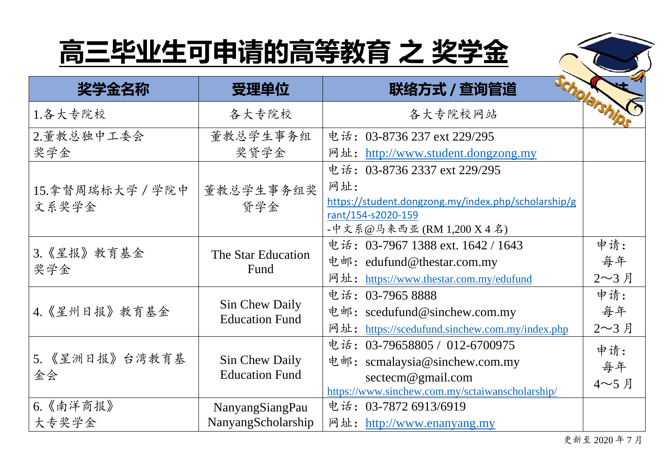

|                  | 受理单位                                    | <b>SCOOLARSA</b><br>联络方式 / 查询管道                     |              |
|------------------|-----------------------------------------|-----------------------------------------------------|--------------|
| 1.各大专院校          | 各大专院校                                   | 各大专院校网站                                             |              |
| 2.董教总独中工委会       | 董教总学生事务组                                | 电话: 03-8736 237 ext 229/295                         |              |
| 奖学金              | 奖贷学金                                    | 网址: http://www.student.dongzong.my                  |              |
|                  |                                         | 电话: 03-8736 2337 ext 229/295                        |              |
| 15.拿督周瑞标大学 / 学院中 | 董教总学生事务组奖                               | 网址:                                                 |              |
| 文系奖学金            | 贷学金                                     | https://student.dongzong.my/index.php/scholarship/g |              |
|                  |                                         | rant/154-s2020-159                                  |              |
|                  |                                         | -中文系@马来西亚(RM 1,200 X 4 名)                           |              |
| 3. 《星报》教育基金      | The Star Education                      | 电话: 03-7967 1388 ext. 1642 / 1643                   | 申请:          |
| 奖学金              | Fund                                    | 电邮: edufund@thestar.com.my                          | 每年           |
|                  |                                         | 网址: https://www.thestar.com.my/edufund              | 2~3月         |
|                  |                                         | 电话: 03-7965 8888                                    | 申请:          |
| 4.《星州日报》教育基金     | Sin Chew Daily<br><b>Education Fund</b> | 电邮: scedufund@sinchew.com.my                        | 每年           |
|                  |                                         | 网址: https://scedufund.sinchew.com.my/index.php      | $2 \sim 3$ 月 |
|                  |                                         | 电话: 03-79658805 / 012-6700975                       | 申请:          |
| 5. 《星洲日报》台湾教育基   | Sin Chew Daily                          | 电邮: scmalaysia@sinchew.com.my                       | 每年           |
| 金会               | <b>Education Fund</b>                   | $\sec$ tecm@gmail.com                               | 4~5月         |
|                  |                                         | https://www.sinchew.com.my/sctaiwanscholarship/     |              |
| 6.《南洋商报》         | NanyangSiangPau                         | 电话: 03-7872 6913/6919                               |              |
| 大专奖学金            | NanyangScholarship                      | 网址: http://www.enanyang.my                          |              |

更新至 2020 年 7 月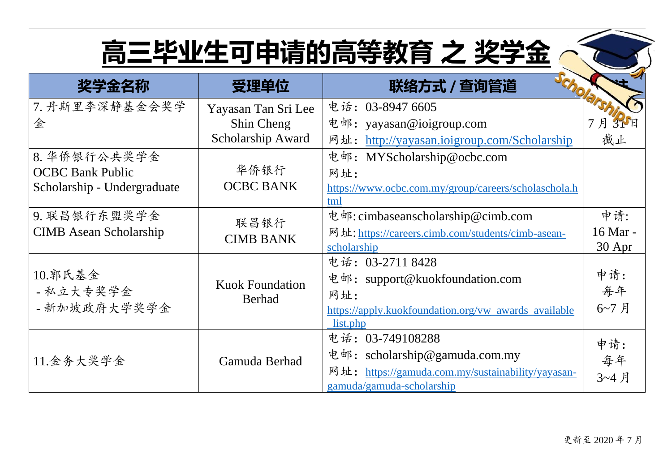| 奖学金名称                         | 受理单位                                    | 联络方式 / 查询管道                                                      |          |
|-------------------------------|-----------------------------------------|------------------------------------------------------------------|----------|
| 7. 丹斯里李深静基金会奖学                | 电话: 03-8947 6605<br>Yayasan Tan Sri Lee |                                                                  |          |
| 金                             | Shin Cheng                              | 电邮:<br>yayasan@ioigroup.com                                      | 3 P E    |
|                               | Scholarship Award                       | http://yayasan.joigroup.com/Scholarship<br>网址:                   | 截止       |
| 8. 华侨银行公共奖学金                  |                                         | 电邮: MYScholarship@ocbc.com                                       |          |
| <b>OCBC Bank Public</b>       | 华侨银行                                    | 网址:                                                              |          |
| Scholarship - Undergraduate   | <b>OCBC BANK</b>                        | https://www.ocbc.com.my/group/careers/scholaschola.h             |          |
|                               |                                         | tml                                                              | 申请:      |
| 9. 联昌银行东盟奖学金                  | 联昌银行                                    | 电邮: cimbaseanscholarship@cimb.com                                | 16 Mar - |
| <b>CIMB</b> Asean Scholarship | <b>CIMB BANK</b>                        | 网址: https://careers.cimb.com/students/cimb-asean-<br>scholarship | 30 Apr   |
|                               |                                         | 电话: 03-2711 8428                                                 |          |
| 10.郭氏基金                       |                                         | 电邮: support@kuokfoundation.com                                   | 申请:      |
| - 私立大专奖学金                     | <b>Kuok Foundation</b><br><b>Berhad</b> | 网址:                                                              | 每年       |
| - 新加坡政府大学奖学金                  |                                         | https://apply.kuokfoundation.org/vw_awards_available             | 6~7月     |
|                               |                                         | list.php                                                         |          |
| 11.金务大奖学金                     | Gamuda Berhad                           | 电话: 03-749108288                                                 | 申请:      |
|                               |                                         | 电邮: scholarship@gamuda.com.my                                    | 每年       |
|                               |                                         | 网址: https://gamuda.com.my/sustainability/yayasan-                | 3~4月     |
|                               |                                         | gamuda/gamuda-scholarship                                        |          |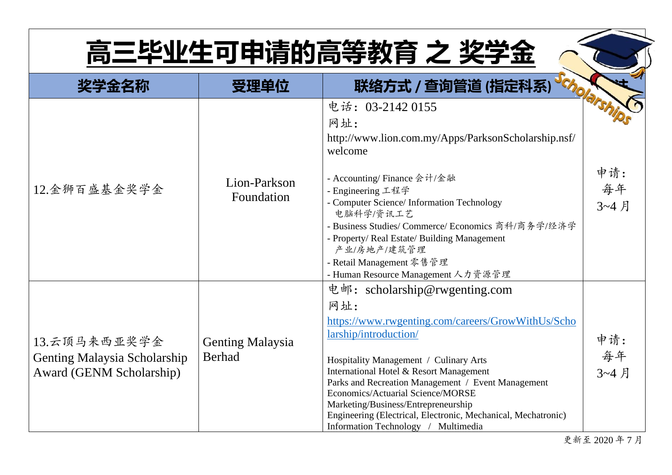|                                                                          | 受理单位                              | 联络方式 / 查询管道 (指定科系)                                                                                                                                                                                                                                                                                                                                                                                                                                |                   |
|--------------------------------------------------------------------------|-----------------------------------|---------------------------------------------------------------------------------------------------------------------------------------------------------------------------------------------------------------------------------------------------------------------------------------------------------------------------------------------------------------------------------------------------------------------------------------------------|-------------------|
|                                                                          |                                   | 电话: 03-2142 0155<br>网址:<br>http://www.lion.com.my/Apps/ParksonScholarship.nsf/<br>welcome                                                                                                                                                                                                                                                                                                                                                         |                   |
| Lion-Parkson<br>12.金狮百盛基金奖学金<br>Foundation                               |                                   | - Accounting/ Finance 会计/金融<br>- Engineering 工程学<br>- Computer Science/ Information Technology<br>电脑科学/资讯工艺<br>- Business Studies/ Commerce/ Economics 商科/商务学/经济学<br>- Property/ Real Estate/ Building Management<br>产业/房地产/建筑管理<br>- Retail Management 零售管理<br>- Human Resource Management 人力资源管理                                                                                                                                                | 申请:<br>每年<br>3~4月 |
| 13.云顶马来西亚奖学金<br>Genting Malaysia Scholarship<br>Award (GENM Scholarship) | Genting Malaysia<br><b>Berhad</b> | 电邮: scholarship@rwgenting.com<br>网址:<br>https://www.rwgenting.com/careers/GrowWithUs/Scho<br>larship/introduction/<br>Hospitality Management / Culinary Arts<br>International Hotel & Resort Management<br>Parks and Recreation Management / Event Management<br>Economics/Actuarial Science/MORSE<br>Marketing/Business/Entrepreneurship<br>Engineering (Electrical, Electronic, Mechanical, Mechatronic)<br>Information Technology / Multimedia | 申请:<br>每年<br>3~4月 |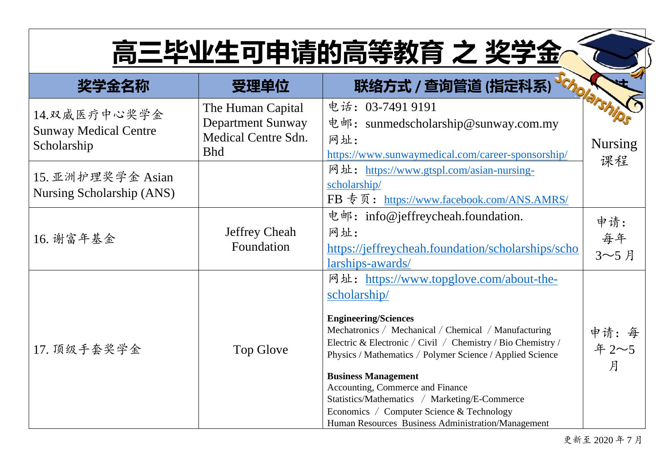| 奖学金名称                                                        | 受理单位                                                                                                                                                    | 联络方式 / 查询管道 (指定科系)                                                                                                                                                                                                                                                                                                                                                                                                                                                                               |                         |
|--------------------------------------------------------------|---------------------------------------------------------------------------------------------------------------------------------------------------------|--------------------------------------------------------------------------------------------------------------------------------------------------------------------------------------------------------------------------------------------------------------------------------------------------------------------------------------------------------------------------------------------------------------------------------------------------------------------------------------------------|-------------------------|
| 14. 双威医疗中心奖学金<br><b>Sunway Medical Centre</b><br>Scholarship | The Human Capital<br><b>Department Sunway</b><br><b>Medical Centre Sdn.</b><br><b>Bhd</b>                                                               | 电话: 03-7491 9191<br>电邮: sunmedscholarship@sunway.com.my<br>网址:<br>https://www.sunwaymedical.com/career-sponsorship/                                                                                                                                                                                                                                                                                                                                                                              | <b>Nursing</b><br>课程    |
| 15. 亚洲护理奖学金 Asian<br>Nursing Scholarship (ANS)               |                                                                                                                                                         | 网址: https://www.gtspl.com/asian-nursing-<br>scholarship/<br>FB 专页: https://www.facebook.com/ANS.AMRS/                                                                                                                                                                                                                                                                                                                                                                                            |                         |
| 16. 谢富年基金                                                    | 电邮: info@jeffreycheah.foundation.<br><b>Jeffrey Cheah</b><br>网址:<br>Foundation<br>https://jeffreycheah.foundation/scholarships/scho<br>larships-awards/ |                                                                                                                                                                                                                                                                                                                                                                                                                                                                                                  | 申请:<br>每年<br>3~5月       |
| 17. 顶级手套奖学金                                                  | Top Glove                                                                                                                                               | 网址: https://www.topglove.com/about-the-<br>scholarship/<br><b>Engineering/Sciences</b><br>Mechatronics / Mechanical / Chemical / Manufacturing<br>Electric & Electronic / Civil / Chemistry / Bio Chemistry /<br>Physics / Mathematics / Polymer Science / Applied Science<br><b>Business Management</b><br>Accounting, Commerce and Finance<br>Statistics/Mathematics / Marketing/E-Commerce<br>Economics / Computer Science & Technology<br>Human Resources Business Administration/Management | 申请: 每<br>年 $2 - 5$<br>月 |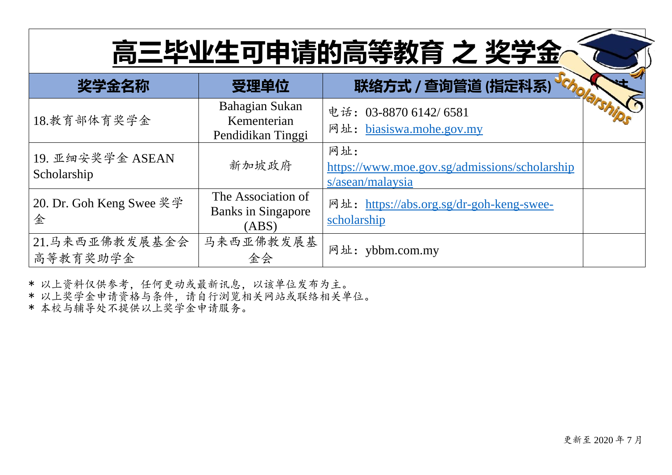| 奖学金名称                           | 受理单位                                                     | 联络方式 / 查询管道 (指定科系)                                                       |
|---------------------------------|----------------------------------------------------------|--------------------------------------------------------------------------|
| 18.教育部体育奖学金                     | Bahagian Sukan<br>Kementerian<br>Pendidikan Tinggi       | 电话: 03-8870 6142/ 6581<br>网址: biasiswa.mohe.gov.my                       |
| 19. 亚细安奖学金 ASEAN<br>Scholarship | 新加坡政府                                                    | 网址:<br>https://www.moe.gov.sg/admissions/scholarship<br>s/asean/malaysia |
| 20. Dr. Goh Keng Swee 奖学<br>金   | The Association of<br><b>Banks in Singapore</b><br>(ABS) | 网址: https://abs.org.sg/dr-goh-keng-swee-<br>scholarship                  |
| 21.马来西亚佛教发展基金会<br>高等教育奖助学金      | 马来西亚佛教发展基<br>金会                                          | 网址: ybbm.com.my                                                          |

\* 以上资料仅供参考,任何更动或最新讯息,以该单位发布为主。

\* 以上奖学金申请资格与条件,请自行浏览相关网站或联络相关单位。

\* 本校与辅导处不提供以上奖学金申请服务。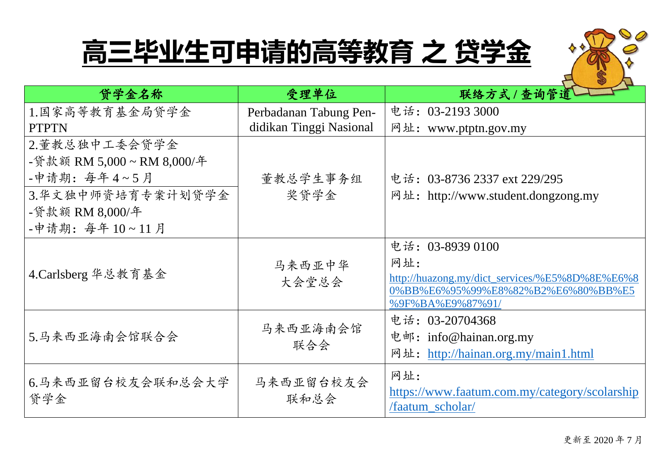| 贷学金名称                    | 受理单位                    | 联络方式 / 查询管道                                                                                                                         |
|--------------------------|-------------------------|-------------------------------------------------------------------------------------------------------------------------------------|
| 1.国家高等教育基金局贷学金           | Perbadanan Tabung Pen-  | 电话: 03-2193 3000                                                                                                                    |
| <b>PTPTN</b>             | didikan Tinggi Nasional | 网址: www.ptptn.gov.my                                                                                                                |
| 2.董教总独中工委会贷学金            |                         |                                                                                                                                     |
| -贷款额 RM 5,000~RM 8,000/年 |                         |                                                                                                                                     |
| -申请期: 每年4~5月             | 董教总学生事务组                | 电话: 03-8736 2337 ext 229/295                                                                                                        |
| 3.华文独中师资培育专案计划贷学金        | 奖贷学金                    | 网址: http://www.student.dongzong.my                                                                                                  |
| -贷款额 RM 8,000/年          |                         |                                                                                                                                     |
| -申请期: 每年10~11月           |                         |                                                                                                                                     |
| 4.Carlsberg 华总教育基金       | 马来西亚中华<br>大会堂总会         | 电话: 03-8939 0100<br>网址:<br>http://huazong.my/dict_services/%E5%8D%8E%E6%8<br>0%BB%E6%95%99%E8%82%B2%E6%80%BB%E5<br>%9F%BA%E9%87%91/ |
| 5.马来西亚海南会馆联合会            | 马来西亚海南会馆<br>联合会         | 电话: 03-20704368<br>电邮: info@hainan.org.my<br>网址: http://hainan.org.my/main1.html                                                    |
| 6.马来西亚留台校友会联和总会大学<br>贷学金 | 马来西亚留台校友会<br>联和总会       | 网址:<br>https://www.faatum.com.my/category/scolarship<br>/faatum scholar/                                                            |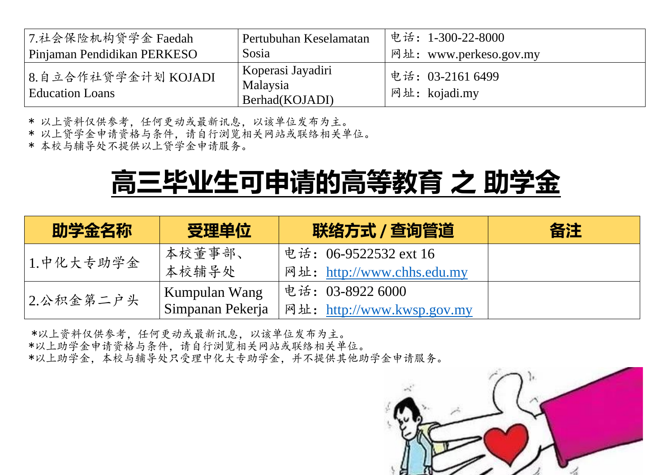| 7.社会保险机构贷学金 Faedah                            | Pertubuhan Keselamatan                          | 电话: 1-300-22-8000                 |
|-----------------------------------------------|-------------------------------------------------|-----------------------------------|
| Pinjaman Pendidikan PERKESO                   | Sosia                                           | 网址: www.perkeso.gov.my            |
| 8.自立合作社贷学金计划 KOJADI<br><b>Education Loans</b> | Koperasi Jayadiri<br>Malaysia<br>Berhad(KOJADI) | 电话: 03-2161 6499<br>网址: kojadi.my |

\* 以上资料仅供参考,任何更动或最新讯息,以该单位发布为主。

\* 以上贷学金申请资格与条件,请自行浏览相关网站或联络相关单位。

\* 本校与辅导处不提供以上贷学金申请服务。

#### **高三毕业生可申请的高等教育 之 助学金**

| 助学金名称     | 受理单位             | 联络方式 / 查询管道                | 备注 |
|-----------|------------------|----------------------------|----|
| 1.中化大专助学金 | 本校董事部、           | 电话: 06-9522532 ext 16      |    |
|           | 本校辅导处            | 网址: http://www.chhs.edu.my |    |
| 2.公积金第二户头 | Kumpulan Wang    | 电话: 03-8922 6000           |    |
|           | Simpanan Pekerja | 网址: http://www.kwsp.gov.my |    |

\*以上资料仅供参考,任何更动或最新讯息,以该单位发布为主。 \*以上助学金申请资格与条件,请自行浏览相关网站或联络相关单位。 \*以上助学金,本校与辅导处只受理中化大专助学金,并不提供其他助学金申请服务。